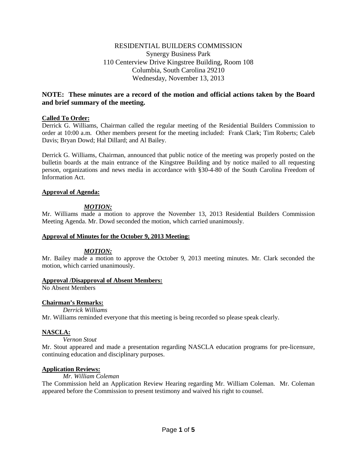# RESIDENTIAL BUILDERS COMMISSION Synergy Business Park 110 Centerview Drive Kingstree Building, Room 108 Columbia, South Carolina 29210 Wednesday, November 13, 2013

# **NOTE: These minutes are a record of the motion and official actions taken by the Board and brief summary of the meeting.**

## **Called To Order:**

Derrick G. Williams, Chairman called the regular meeting of the Residential Builders Commission to order at 10:00 a.m. Other members present for the meeting included: Frank Clark; Tim Roberts; Caleb Davis; Bryan Dowd; Hal Dillard; and Al Bailey.

Derrick G. Williams, Chairman, announced that public notice of the meeting was properly posted on the bulletin boards at the main entrance of the Kingstree Building and by notice mailed to all requesting person, organizations and news media in accordance with §30-4-80 of the South Carolina Freedom of Information Act.

#### **Approval of Agenda:**

# *MOTION:*

Mr. Williams made a motion to approve the November 13, 2013 Residential Builders Commission Meeting Agenda. Mr. Dowd seconded the motion, which carried unanimously.

#### **Approval of Minutes for the October 9, 2013 Meeting:**

# *MOTION:*

Mr. Bailey made a motion to approve the October 9, 2013 meeting minutes. Mr. Clark seconded the motion, which carried unanimously.

#### **Approval /Disapproval of Absent Members:**

No Absent Members

# **Chairman's Remarks:**

*Derrick Williams*

Mr. Williams reminded everyone that this meeting is being recorded so please speak clearly.

# **NASCLA:**

#### *Vernon Stout*

Mr. Stout appeared and made a presentation regarding NASCLA education programs for pre-licensure, continuing education and disciplinary purposes.

# **Application Reviews:**

### *Mr. William Coleman*

The Commission held an Application Review Hearing regarding Mr. William Coleman. Mr. Coleman appeared before the Commission to present testimony and waived his right to counsel.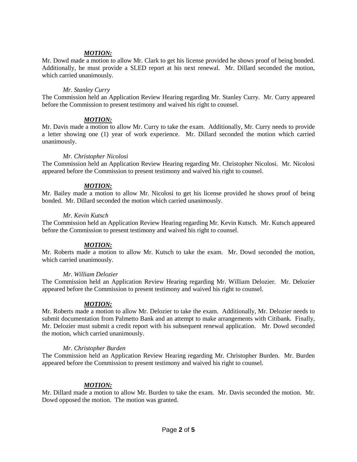### *MOTION:*

Mr. Dowd made a motion to allow Mr. Clark to get his license provided he shows proof of being bonded. Additionally, he must provide a SLED report at his next renewal. Mr. Dillard seconded the motion, which carried unanimously.

#### *Mr. Stanley Curry*

The Commission held an Application Review Hearing regarding Mr. Stanley Curry. Mr. Curry appeared before the Commission to present testimony and waived his right to counsel.

#### *MOTION:*

Mr. Davis made a motion to allow Mr. Curry to take the exam. Additionally, Mr. Curry needs to provide a letter showing one (1) year of work experience. Mr. Dillard seconded the motion which carried unanimously.

#### *Mr. Christopher Nicolosi*

The Commission held an Application Review Hearing regarding Mr. Christopher Nicolosi. Mr. Nicolosi appeared before the Commission to present testimony and waived his right to counsel.

## *MOTION:*

Mr. Bailey made a motion to allow Mr. Nicolosi to get his license provided he shows proof of being bonded. Mr. Dillard seconded the motion which carried unanimously.

#### *Mr. Kevin Kutsch*

The Commission held an Application Review Hearing regarding Mr. Kevin Kutsch. Mr. Kutsch appeared before the Commission to present testimony and waived his right to counsel.

#### *MOTION:*

Mr. Roberts made a motion to allow Mr. Kutsch to take the exam. Mr. Dowd seconded the motion, which carried unanimously.

#### *Mr. William Delozier*

The Commission held an Application Review Hearing regarding Mr. William Delozier. Mr. Delozier appeared before the Commission to present testimony and waived his right to counsel.

#### *MOTION:*

Mr. Roberts made a motion to allow Mr. Delozier to take the exam. Additionally, Mr. Delozier needs to submit documentation from Palmetto Bank and an attempt to make arrangements with Citibank. Finally, Mr. Delozier must submit a credit report with his subsequent renewal application. Mr. Dowd seconded the motion, which carried unanimously.

#### *Mr. Christopher Burden*

The Commission held an Application Review Hearing regarding Mr. Christopher Burden. Mr. Burden appeared before the Commission to present testimony and waived his right to counsel.

#### *MOTION:*

Mr. Dillard made a motion to allow Mr. Burden to take the exam. Mr. Davis seconded the motion. Mr. Dowd opposed the motion. The motion was granted.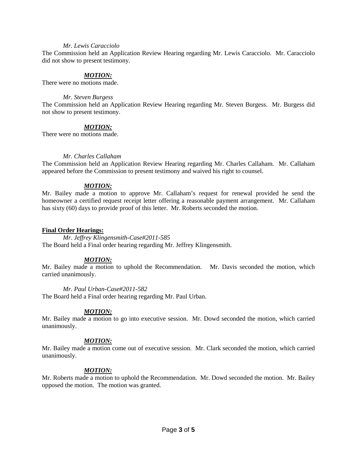#### *Mr. Lewis Caracciolo*

The Commission held an Application Review Hearing regarding Mr. Lewis Caracciolo. Mr. Caracciolo did not show to present testimony.

## *MOTION:*

There were no motions made.

#### *Mr. Steven Burgess*

The Commission held an Application Review Hearing regarding Mr. Steven Burgess. Mr. Burgess did not show to present testimony.

#### *MOTION:*

There were no motions made.

#### *Mr. Charles Callaham*

The Commission held an Application Review Hearing regarding Mr. Charles Callaham. Mr. Callaham appeared before the Commission to present testimony and waived his right to counsel.

## *MOTION:*

Mr. Bailey made a motion to approve Mr. Callaham's request for renewal provided he send the homeowner a certified request receipt letter offering a reasonable payment arrangement. Mr. Callaham has sixty (60) days to provide proof of this letter. Mr. Roberts seconded the motion.

#### **Final Order Hearings:**

*Mr. Jeffrey Klingensmith-Case#2011-585* The Board held a Final order hearing regarding Mr. Jeffrey Klingensmith.

#### *MOTION:*

Mr. Bailey made a motion to uphold the Recommendation. Mr. Davis seconded the motion, which carried unanimously.

### *Mr. Paul Urban-Case#2011-582*

The Board held a Final order hearing regarding Mr. Paul Urban.

#### *MOTION:*

Mr. Bailey made a motion to go into executive session. Mr. Dowd seconded the motion, which carried unanimously.

#### *MOTION:*

Mr. Bailey made a motion come out of executive session. Mr. Clark seconded the motion, which carried unanimously.

#### *MOTION:*

Mr. Roberts made a motion to uphold the Recommendation. Mr. Dowd seconded the motion. Mr. Bailey opposed the motion. The motion was granted.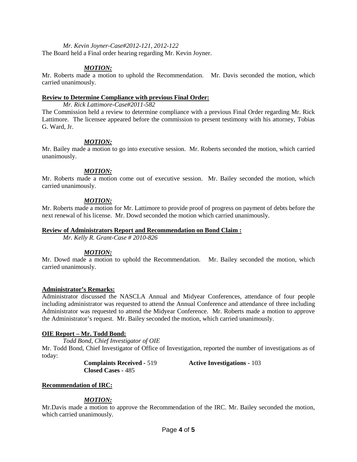#### *Mr. Kevin Joyner-Case#2012-121, 2012-122*

The Board held a Final order hearing regarding Mr. Kevin Joyner.

## *MOTION:*

Mr. Roberts made a motion to uphold the Recommendation. Mr. Davis seconded the motion, which carried unanimously.

#### **Review to Determine Compliance with previous Final Order:**

*Mr. Rick Lattimore-Case#2011-582*

The Commission held a review to determine compliance with a previous Final Order regarding Mr. Rick Lattimore. The licensee appeared before the commission to present testimony with his attorney, Tobias G. Ward, Jr.

## *MOTION:*

Mr. Bailey made a motion to go into executive session. Mr. Roberts seconded the motion, which carried unanimously.

## *MOTION:*

Mr. Roberts made a motion come out of executive session. Mr. Bailey seconded the motion, which carried unanimously.

## *MOTION:*

Mr. Roberts made a motion for Mr. Lattimore to provide proof of progress on payment of debts before the next renewal of his license. Mr. Dowd seconded the motion which carried unanimously.

#### **Review of Administrators Report and Recommendation on Bond Claim :**

*Mr. Kelly R. Grant-Case # 2010-826*

# *MOTION:*

Mr. Dowd made a motion to uphold the Recommendation. Mr. Bailey seconded the motion, which carried unanimously.

#### **Administrator's Remarks:**

Administrator discussed the NASCLA Annual and Midyear Conferences, attendance of four people including administrator was requested to attend the Annual Conference and attendance of three including Administrator was requested to attend the Midyear Conference. Mr. Roberts made a motion to approve the Administrator's request. Mr. Bailey seconded the motion, which carried unanimously.

#### **OIE Report – Mr. Todd Bond:**

*Todd Bond, Chief Investigator of OIE*

Mr. Todd Bond, Chief Investigator of Office of Investigation, reported the number of investigations as of today:

**Closed Cases -** 485

**Complaints Received -** 519 **Active Investigations -** 103

# **Recommendation of IRC:**

# *MOTION:*

Mr.Davis made a motion to approve the Recommendation of the IRC. Mr. Bailey seconded the motion, which carried unanimously.